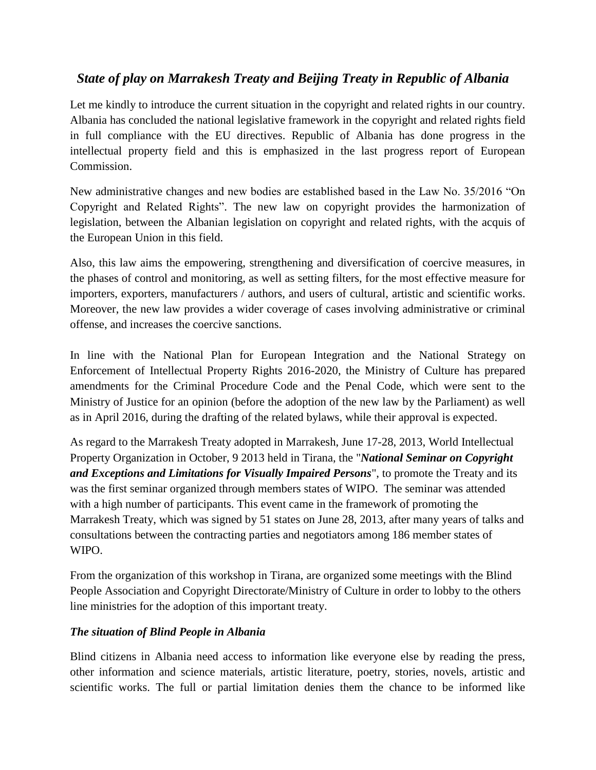## *State of play on Marrakesh Treaty and Beijing Treaty in Republic of Albania*

Let me kindly to introduce the current situation in the copyright and related rights in our country. Albania has concluded the national legislative framework in the copyright and related rights field in full compliance with the EU directives. Republic of Albania has done progress in the intellectual property field and this is emphasized in the last progress report of European Commission.

New administrative changes and new bodies are established based in the Law No. 35/2016 "On Copyright and Related Rights". The new law on copyright provides the harmonization of legislation, between the Albanian legislation on copyright and related rights, with the acquis of the European Union in this field.

Also, this law aims the empowering, strengthening and diversification of coercive measures, in the phases of control and monitoring, as well as setting filters, for the most effective measure for importers, exporters, manufacturers / authors, and users of cultural, artistic and scientific works. Moreover, the new law provides a wider coverage of cases involving administrative or criminal offense, and increases the coercive sanctions.

In line with the National Plan for European Integration and the National Strategy on Enforcement of Intellectual Property Rights 2016-2020, the Ministry of Culture has prepared amendments for the Criminal Procedure Code and the Penal Code, which were sent to the Ministry of Justice for an opinion (before the adoption of the new law by the Parliament) as well as in April 2016, during the drafting of the related bylaws, while their approval is expected.

As regard to the Marrakesh Treaty adopted in Marrakesh, June 17-28, 2013, World Intellectual Property Organization in October, 9 2013 held in Tirana, the "*National Seminar on Copyright and Exceptions and Limitations for Visually Impaired Persons*", to promote the Treaty and its was the first seminar organized through members states of WIPO. The seminar was attended with a high number of participants. This event came in the framework of promoting the Marrakesh Treaty, which was signed by 51 states on June 28, 2013, after many years of talks and consultations between the contracting parties and negotiators among 186 member states of WIPO.

From the organization of this workshop in Tirana, are organized some meetings with the Blind People Association and Copyright Directorate/Ministry of Culture in order to lobby to the others line ministries for the adoption of this important treaty.

## *The situation of Blind People in Albania*

Blind citizens in Albania need access to information like everyone else by reading the press, other information and science materials, artistic literature, poetry, stories, novels, artistic and scientific works. The full or partial limitation denies them the chance to be informed like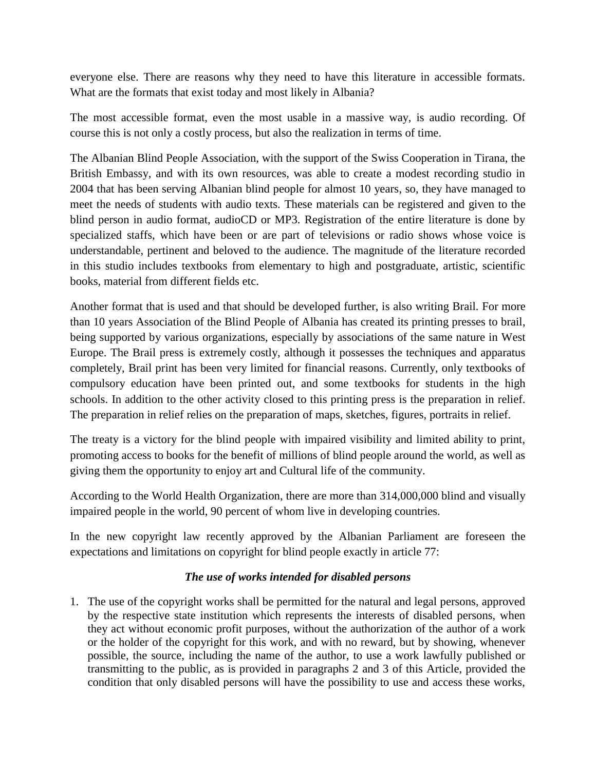everyone else. There are reasons why they need to have this literature in accessible formats. What are the formats that exist today and most likely in Albania?

The most accessible format, even the most usable in a massive way, is audio recording. Of course this is not only a costly process, but also the realization in terms of time.

The Albanian Blind People Association, with the support of the Swiss Cooperation in Tirana, the British Embassy, and with its own resources, was able to create a modest recording studio in 2004 that has been serving Albanian blind people for almost 10 years, so, they have managed to meet the needs of students with audio texts. These materials can be registered and given to the blind person in audio format, audioCD or MP3. Registration of the entire literature is done by specialized staffs, which have been or are part of televisions or radio shows whose voice is understandable, pertinent and beloved to the audience. The magnitude of the literature recorded in this studio includes textbooks from elementary to high and postgraduate, artistic, scientific books, material from different fields etc.

Another format that is used and that should be developed further, is also writing Brail. For more than 10 years Association of the Blind People of Albania has created its printing presses to brail, being supported by various organizations, especially by associations of the same nature in West Europe. The Brail press is extremely costly, although it possesses the techniques and apparatus completely, Brail print has been very limited for financial reasons. Currently, only textbooks of compulsory education have been printed out, and some textbooks for students in the high schools. In addition to the other activity closed to this printing press is the preparation in relief. The preparation in relief relies on the preparation of maps, sketches, figures, portraits in relief.

The treaty is a victory for the blind people with impaired visibility and limited ability to print, promoting access to books for the benefit of millions of blind people around the world, as well as giving them the opportunity to enjoy art and Cultural life of the community.

According to the World Health Organization, there are more than 314,000,000 blind and visually impaired people in the world, 90 percent of whom live in developing countries.

In the new copyright law recently approved by the Albanian Parliament are foreseen the expectations and limitations on copyright for blind people exactly in article 77:

## *The use of works intended for disabled persons*

1. The use of the copyright works shall be permitted for the natural and legal persons, approved by the respective state institution which represents the interests of disabled persons, when they act without economic profit purposes, without the authorization of the author of a work or the holder of the copyright for this work, and with no reward, but by showing, whenever possible, the source, including the name of the author, to use a work lawfully published or transmitting to the public, as is provided in paragraphs 2 and 3 of this Article, provided the condition that only disabled persons will have the possibility to use and access these works,